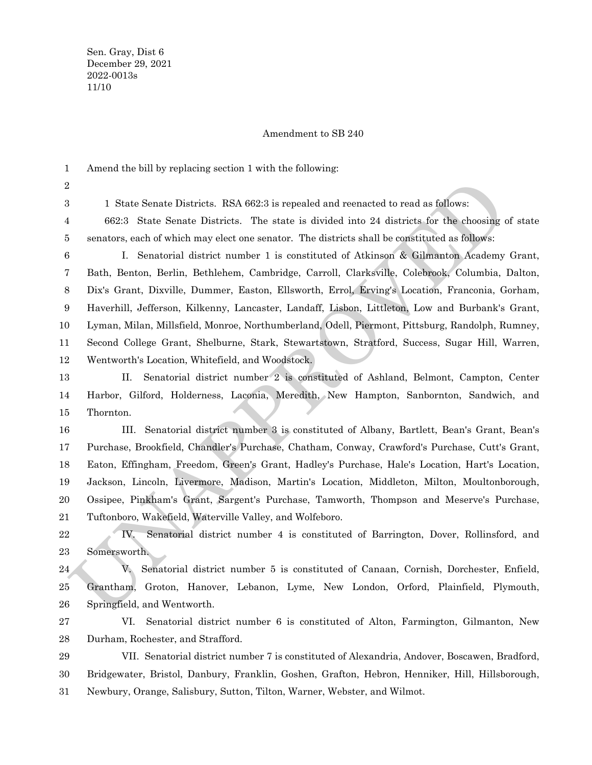## Amendment to SB 240

Amend the bill by replacing section 1 with the following: 1

2 3

1 State Senate Districts. RSA 662:3 is repealed and reenacted to read as follows:

662:3 State Senate Districts. The state is divided into 24 districts for the choosing of state senators, each of which may elect one senator. The districts shall be constituted as follows: 4 5

1 State Sonate Districts. RSA 662:3 is repealed and recenacted to read as follows:<br>
1 State Scan te Districts. The state is divided into 24 districts for the choosing of standars, cach of which may elect one senator. The d I. Senatorial district number 1 is constituted of Atkinson & Gilmanton Academy Grant, Bath, Benton, Berlin, Bethlehem, Cambridge, Carroll, Clarksville, Colebrook, Columbia, Dalton, Dix's Grant, Dixville, Dummer, Easton, Ellsworth, Errol, Erving's Location, Franconia, Gorham, Haverhill, Jefferson, Kilkenny, Lancaster, Landaff, Lisbon, Littleton, Low and Burbank's Grant, Lyman, Milan, Millsfield, Monroe, Northumberland, Odell, Piermont, Pittsburg, Randolph, Rumney, Second College Grant, Shelburne, Stark, Stewartstown, Stratford, Success, Sugar Hill, Warren, Wentworth's Location, Whitefield, and Woodstock. 6 7 8 9 10 11 12

II. Senatorial district number 2 is constituted of Ashland, Belmont, Campton, Center Harbor, Gilford, Holderness, Laconia, Meredith, New Hampton, Sanbornton, Sandwich, and Thornton. 13 14 15

III. Senatorial district number 3 is constituted of Albany, Bartlett, Bean's Grant, Bean's Purchase, Brookfield, Chandler's Purchase, Chatham, Conway, Crawford's Purchase, Cutt's Grant, Eaton, Effingham, Freedom, Green's Grant, Hadley's Purchase, Hale's Location, Hart's Location, Jackson, Lincoln, Livermore, Madison, Martin's Location, Middleton, Milton, Moultonborough, Ossipee, Pinkham's Grant, Sargent's Purchase, Tamworth, Thompson and Meserve's Purchase, Tuftonboro, Wakefield, Waterville Valley, and Wolfeboro. 16 17 18 19 20 21

IV. Senatorial district number 4 is constituted of Barrington, Dover, Rollinsford, and Somersworth. 22 23

V. Senatorial district number 5 is constituted of Canaan, Cornish, Dorchester, Enfield, Grantham, Groton, Hanover, Lebanon, Lyme, New London, Orford, Plainfield, Plymouth, Springfield, and Wentworth. 24 25 26

 Durham, Rochester, and Strafford. VI. Senatorial district number 6 is constituted of Alton, Farmington, Gilmanton, New 27 28

VII. Senatorial district number 7 is constituted of Alexandria, Andover, Boscawen, Bradford, Bridgewater, Bristol, Danbury, Franklin, Goshen, Grafton, Hebron, Henniker, Hill, Hillsborough, Newbury, Orange, Salisbury, Sutton, Tilton, Warner, Webster, and Wilmot. 29 30 31